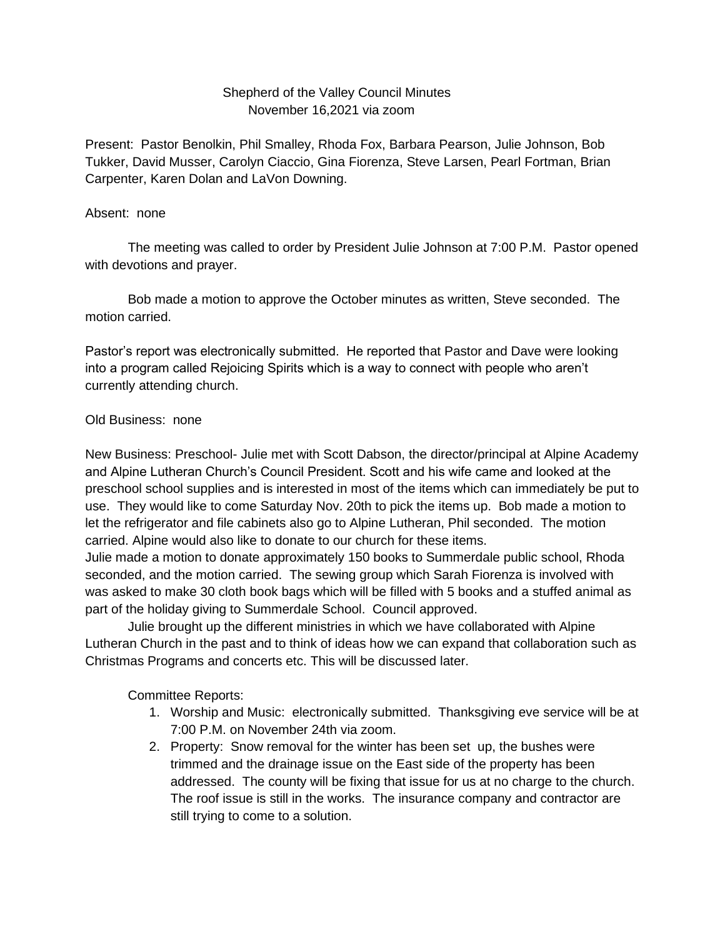## Shepherd of the Valley Council Minutes November 16,2021 via zoom

Present: Pastor Benolkin, Phil Smalley, Rhoda Fox, Barbara Pearson, Julie Johnson, Bob Tukker, David Musser, Carolyn Ciaccio, Gina Fiorenza, Steve Larsen, Pearl Fortman, Brian Carpenter, Karen Dolan and LaVon Downing.

## Absent: none

The meeting was called to order by President Julie Johnson at 7:00 P.M. Pastor opened with devotions and prayer.

Bob made a motion to approve the October minutes as written, Steve seconded. The motion carried.

Pastor's report was electronically submitted. He reported that Pastor and Dave were looking into a program called Rejoicing Spirits which is a way to connect with people who aren't currently attending church.

## Old Business: none

New Business: Preschool- Julie met with Scott Dabson, the director/principal at Alpine Academy and Alpine Lutheran Church's Council President. Scott and his wife came and looked at the preschool school supplies and is interested in most of the items which can immediately be put to use. They would like to come Saturday Nov. 20th to pick the items up. Bob made a motion to let the refrigerator and file cabinets also go to Alpine Lutheran, Phil seconded. The motion carried. Alpine would also like to donate to our church for these items.

Julie made a motion to donate approximately 150 books to Summerdale public school, Rhoda seconded, and the motion carried. The sewing group which Sarah Fiorenza is involved with was asked to make 30 cloth book bags which will be filled with 5 books and a stuffed animal as part of the holiday giving to Summerdale School. Council approved.

Julie brought up the different ministries in which we have collaborated with Alpine Lutheran Church in the past and to think of ideas how we can expand that collaboration such as Christmas Programs and concerts etc. This will be discussed later.

Committee Reports:

- 1. Worship and Music: electronically submitted. Thanksgiving eve service will be at 7:00 P.M. on November 24th via zoom.
- 2. Property: Snow removal for the winter has been set up, the bushes were trimmed and the drainage issue on the East side of the property has been addressed. The county will be fixing that issue for us at no charge to the church. The roof issue is still in the works. The insurance company and contractor are still trying to come to a solution.